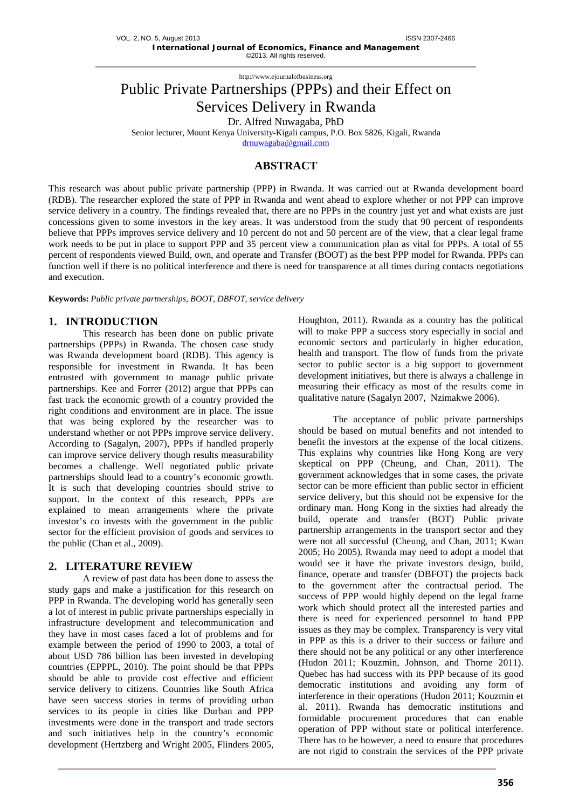# Public Private Partnerships (PPPs) and their Effect on Services Delivery in Rwanda

Dr. Alfred Nuwagaba, PhD

Senior lecturer, Mount Kenya University-Kigali campus, P.O. Box 5826, Kigali, Rwanda

[drnuwagaba@gmail.com](mailto:drnuwagaba@gmail.com)

## **ABSTRACT**

This research was about public private partnership (PPP) in Rwanda. It was carried out at Rwanda development board (RDB). The researcher explored the state of PPP in Rwanda and went ahead to explore whether or not PPP can improve service delivery in a country. The findings revealed that, there are no PPPs in the country just yet and what exists are just concessions given to some investors in the key areas. It was understood from the study that 90 percent of respondents believe that PPPs improves service delivery and 10 percent do not and 50 percent are of the view, that a clear legal frame work needs to be put in place to support PPP and 35 percent view a communication plan as vital for PPPs. A total of 55 percent of respondents viewed Build, own, and operate and Transfer (BOOT) as the best PPP model for Rwanda. PPPs can function well if there is no political interference and there is need for transparence at all times during contacts negotiations and execution.

**Keywords:** *Public private partnerships, BOOT, DBFOT, service delivery*

## **1. INTRODUCTION**

This research has been done on public private partnerships (PPPs) in Rwanda. The chosen case study was Rwanda development board (RDB). This agency is responsible for investment in Rwanda. It has been entrusted with government to manage public private partnerships. Kee and Forrer (2012) argue that PPPs can fast track the economic growth of a country provided the right conditions and environment are in place. The issue that was being explored by the researcher was to understand whether or not PPPs improve service delivery. According to (Sagalyn, 2007), PPPs if handled properly can improve service delivery though results measurability becomes a challenge. Well negotiated public private partnerships should lead to a country's economic growth. It is such that developing countries should strive to support. In the context of this research, PPPs are explained to mean arrangements where the private investor's co invests with the government in the public sector for the efficient provision of goods and services to the public (Chan et al., 2009).

## **2. LITERATURE REVIEW**

A review of past data has been done to assess the study gaps and make a justification for this research on PPP in Rwanda. The developing world has generally seen a lot of interest in public private partnerships especially in infrastructure development and telecommunication and they have in most cases faced a lot of problems and for example between the period of 1990 to 2003, a total of about USD 786 billion has been invested in developing countries (EPPPL, 2010). The point should be that PPPs should be able to provide cost effective and efficient service delivery to citizens. Countries like South Africa have seen success stories in terms of providing urban services to its people in cities like Durban and PPP investments were done in the transport and trade sectors and such initiatives help in the country's economic development (Hertzberg and Wright 2005, Flinders 2005,

Houghton, 2011). Rwanda as a country has the political will to make PPP a success story especially in social and economic sectors and particularly in higher education, health and transport. The flow of funds from the private sector to public sector is a big support to government development initiatives, but there is always a challenge in measuring their efficacy as most of the results come in qualitative nature (Sagalyn 2007, Nzimakwe 2006).

The acceptance of public private partnerships should be based on mutual benefits and not intended to benefit the investors at the expense of the local citizens. This explains why countries like Hong Kong are very skeptical on PPP (Cheung, and Chan, 2011). The government acknowledges that in some cases, the private sector can be more efficient than public sector in efficient service delivery, but this should not be expensive for the ordinary man. Hong Kong in the sixties had already the build, operate and transfer (BOT) Public private partnership arrangements in the transport sector and they were not all successful (Cheung, and Chan, 2011; Kwan 2005; Ho 2005). Rwanda may need to adopt a model that would see it have the private investors design, build, finance, operate and transfer (DBFOT) the projects back to the government after the contractual period. The success of PPP would highly depend on the legal frame work which should protect all the interested parties and there is need for experienced personnel to hand PPP issues as they may be complex. Transparency is very vital in PPP as this is a driver to their success or failure and there should not be any political or any other interference (Hudon 2011; Kouzmin, Johnson, and Thorne 2011). Quebec has had success with its PPP because of its good democratic institutions and avoiding any form of interference in their operations (Hudon 2011; Kouzmin et al. 2011). Rwanda has democratic institutions and formidable procurement procedures that can enable operation of PPP without state or political interference. There has to be however, a need to ensure that procedures are not rigid to constrain the services of the PPP private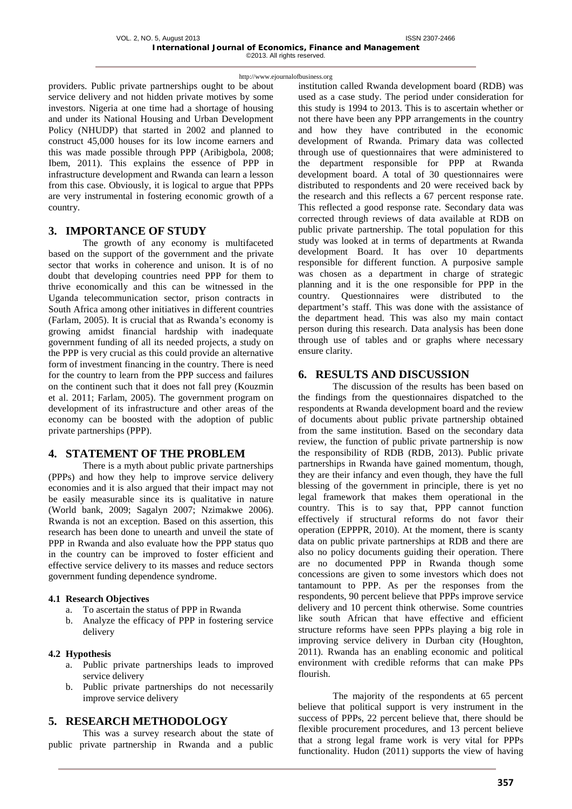providers. Public private partnerships ought to be about service delivery and not hidden private motives by some investors. Nigeria at one time had a shortage of housing and under its National Housing and Urban Development Policy (NHUDP) that started in 2002 and planned to construct 45,000 houses for its low income earners and this was made possible through PPP (Aribigbola, 2008; Ibem, 2011). This explains the essence of PPP in infrastructure development and Rwanda can learn a lesson from this case. Obviously, it is logical to argue that PPPs are very instrumental in fostering economic growth of a country.

## **3. IMPORTANCE OF STUDY**

The growth of any economy is multifaceted based on the support of the government and the private sector that works in coherence and unison. It is of no doubt that developing countries need PPP for them to thrive economically and this can be witnessed in the Uganda telecommunication sector, prison contracts in South Africa among other initiatives in different countries (Farlam, 2005). It is crucial that as Rwanda's economy is growing amidst financial hardship with inadequate government funding of all its needed projects, a study on the PPP is very crucial as this could provide an alternative form of investment financing in the country. There is need for the country to learn from the PPP success and failures on the continent such that it does not fall prey (Kouzmin et al. 2011; Farlam, 2005). The government program on development of its infrastructure and other areas of the economy can be boosted with the adoption of public private partnerships (PPP).

## **4. STATEMENT OF THE PROBLEM**

There is a myth about public private partnerships (PPPs) and how they help to improve service delivery economies and it is also argued that their impact may not be easily measurable since its is qualitative in nature (World bank, 2009; Sagalyn 2007; Nzimakwe 2006). Rwanda is not an exception. Based on this assertion, this research has been done to unearth and unveil the state of PPP in Rwanda and also evaluate how the PPP status quo in the country can be improved to foster efficient and effective service delivery to its masses and reduce sectors government funding dependence syndrome.

## **4.1 Research Objectives**

- a. To ascertain the status of PPP in Rwanda
- b. Analyze the efficacy of PPP in fostering service delivery

#### **4.2 Hypothesis**

- a. Public private partnerships leads to improved service delivery
- b. Public private partnerships do not necessarily improve service delivery

## **5. RESEARCH METHODOLOGY**

This was a survey research about the state of public private partnership in Rwanda and a public

institution called Rwanda development board (RDB) was used as a case study. The period under consideration for this study is 1994 to 2013. This is to ascertain whether or not there have been any PPP arrangements in the country and how they have contributed in the economic development of Rwanda. Primary data was collected through use of questionnaires that were administered to the department responsible for PPP at Rwanda development board. A total of 30 questionnaires were distributed to respondents and 20 were received back by the research and this reflects a 67 percent response rate. This reflected a good response rate. Secondary data was corrected through reviews of data available at RDB on public private partnership. The total population for this study was looked at in terms of departments at Rwanda development Board. It has over 10 departments responsible for different function. A purposive sample was chosen as a department in charge of strategic planning and it is the one responsible for PPP in the country. Questionnaires were distributed to the department's staff. This was done with the assistance of the department head. This was also my main contact person during this research. Data analysis has been done through use of tables and or graphs where necessary ensure clarity.

## **6. RESULTS AND DISCUSSION**

The discussion of the results has been based on the findings from the questionnaires dispatched to the respondents at Rwanda development board and the review of documents about public private partnership obtained from the same institution. Based on the secondary data review, the function of public private partnership is now the responsibility of RDB (RDB, 2013). Public private partnerships in Rwanda have gained momentum, though, they are their infancy and even though, they have the full blessing of the government in principle, there is yet no legal framework that makes them operational in the country. This is to say that, PPP cannot function effectively if structural reforms do not favor their operation (EPPPR, 2010). At the moment, there is scanty data on public private partnerships at RDB and there are also no policy documents guiding their operation. There are no documented PPP in Rwanda though some concessions are given to some investors which does not tantamount to PPP. As per the responses from the respondents, 90 percent believe that PPPs improve service delivery and 10 percent think otherwise. Some countries like south African that have effective and efficient structure reforms have seen PPPs playing a big role in improving service delivery in Durban city (Houghton, 2011). Rwanda has an enabling economic and political environment with credible reforms that can make PPs flourish.

The majority of the respondents at 65 percent believe that political support is very instrument in the success of PPPs, 22 percent believe that, there should be flexible procurement procedures, and 13 percent believe that a strong legal frame work is very vital for PPPs functionality. Hudon (2011) supports the view of having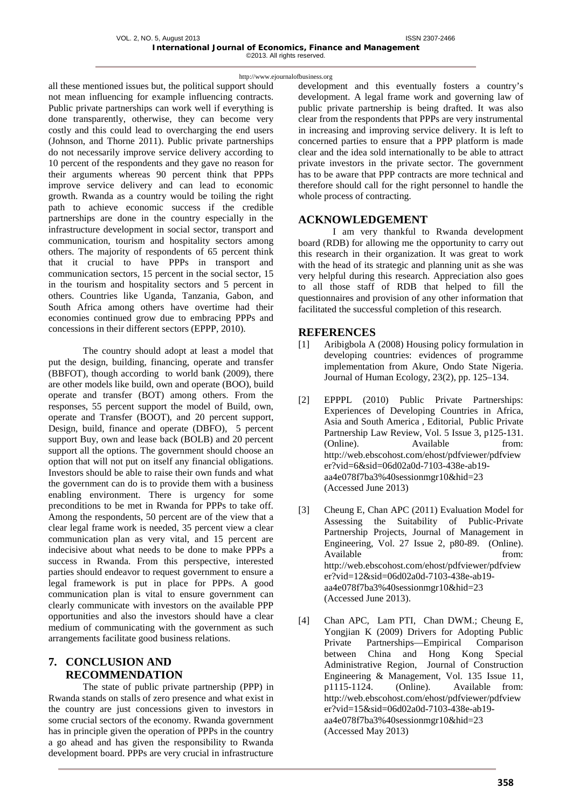all these mentioned issues but, the political support should not mean influencing for example influencing contracts. Public private partnerships can work well if everything is done transparently, otherwise, they can become very costly and this could lead to overcharging the end users (Johnson, and Thorne 2011). Public private partnerships do not necessarily improve service delivery according to 10 percent of the respondents and they gave no reason for their arguments whereas 90 percent think that PPPs improve service delivery and can lead to economic growth. Rwanda as a country would be toiling the right path to achieve economic success if the credible partnerships are done in the country especially in the infrastructure development in social sector, transport and communication, tourism and hospitality sectors among others. The majority of respondents of 65 percent think that it crucial to have PPPs in transport and communication sectors, 15 percent in the social sector, 15 in the tourism and hospitality sectors and 5 percent in others. Countries like Uganda, Tanzania, Gabon, and South Africa among others have overtime had their economies continued grow due to embracing PPPs and concessions in their different sectors (EPPP, 2010).

The country should adopt at least a model that put the design, building, financing, operate and transfer (BBFOT), though according to world bank (2009), there are other models like build, own and operate (BOO), build operate and transfer (BOT) among others. From the responses, 55 percent support the model of Build, own, operate and Transfer (BOOT), and 20 percent support, Design, build, finance and operate (DBFO), 5 percent support Buy, own and lease back (BOLB) and 20 percent support all the options. The government should choose an option that will not put on itself any financial obligations. Investors should be able to raise their own funds and what the government can do is to provide them with a business enabling environment. There is urgency for some preconditions to be met in Rwanda for PPPs to take off. Among the respondents, 50 percent are of the view that a clear legal frame work is needed, 35 percent view a clear communication plan as very vital, and 15 percent are indecisive about what needs to be done to make PPPs a success in Rwanda. From this perspective, interested parties should endeavor to request government to ensure a legal framework is put in place for PPPs. A good communication plan is vital to ensure government can clearly communicate with investors on the available PPP opportunities and also the investors should have a clear medium of communicating with the government as such arrangements facilitate good business relations.

## **7. CONCLUSION AND RECOMMENDATION**

The state of public private partnership (PPP) in Rwanda stands on stalls of zero presence and what exist in the country are just concessions given to investors in some crucial sectors of the economy. Rwanda government has in principle given the operation of PPPs in the country a go ahead and has given the responsibility to Rwanda development board. PPPs are very crucial in infrastructure

development and this eventually fosters a country's development. A legal frame work and governing law of public private partnership is being drafted. It was also clear from the respondents that PPPs are very instrumental in increasing and improving service delivery. It is left to concerned parties to ensure that a PPP platform is made clear and the idea sold internationally to be able to attract private investors in the private sector. The government has to be aware that PPP contracts are more technical and therefore should call for the right personnel to handle the whole process of contracting.

## **ACKNOWLEDGEMENT**

I am very thankful to Rwanda development board (RDB) for allowing me the opportunity to carry out this research in their organization. It was great to work with the head of its strategic and planning unit as she was very helpful during this research. Appreciation also goes to all those staff of RDB that helped to fill the questionnaires and provision of any other information that facilitated the successful completion of this research.

## **REFERENCES**

- [1] Aribigbola A (2008) Housing policy formulation in developing countries: evidences of programme implementation from Akure, Ondo State Nigeria. Journal of Human Ecology, 23(2), pp. 125–134.
- [2] EPPPL (2010) Public Private Partnerships: Experiences of Developing Countries in Africa, Asia and South America , Editorial, Public Private Partnership Law Review, Vol. 5 Issue 3, p125-131. (Online). Available from: [http://web.ebscohost.com/ehost/pdfviewer/pdfview](http://web.ebscohost.com/ehost/pdfviewer/pdfviewer?vid=6&sid=06d02a0d-7103-438e-ab19-aa4e078f7ba3%40sessionmgr10&hid=23) [er?vid=6&sid=06d02a0d-7103-438e-ab19](http://web.ebscohost.com/ehost/pdfviewer/pdfviewer?vid=6&sid=06d02a0d-7103-438e-ab19-aa4e078f7ba3%40sessionmgr10&hid=23) [aa4e078f7ba3%40sessionmgr10&hid=23](http://web.ebscohost.com/ehost/pdfviewer/pdfviewer?vid=6&sid=06d02a0d-7103-438e-ab19-aa4e078f7ba3%40sessionmgr10&hid=23) (Accessed June 2013)
- [3] Cheung E, Chan APC (2011) Evaluation Model for Assessing the Suitability of Public-Private Partnership Projects, Journal of Management in Engineering, Vol. 27 Issue 2, p80-89. (Online). Available from: [http://web.ebscohost.com/ehost/pdfviewer/pdfview](http://web.ebscohost.com/ehost/pdfviewer/pdfviewer?vid=12&sid=06d02a0d-7103-438e-ab19-aa4e078f7ba3%40sessionmgr10&hid=23) [er?vid=12&sid=06d02a0d-7103-438e-ab19](http://web.ebscohost.com/ehost/pdfviewer/pdfviewer?vid=12&sid=06d02a0d-7103-438e-ab19-aa4e078f7ba3%40sessionmgr10&hid=23) [aa4e078f7ba3%40sessionmgr10&hid=23](http://web.ebscohost.com/ehost/pdfviewer/pdfviewer?vid=12&sid=06d02a0d-7103-438e-ab19-aa4e078f7ba3%40sessionmgr10&hid=23) (Accessed June 2013).
- [4] Chan APC, Lam PTI, Chan DWM.; Cheung E, Yongjian K (2009) Drivers for Adopting Public Private Partnerships—Empirical Comparison between China and Hong Kong Special Administrative Region, Journal of Construction Engineering & Management, Vol. 135 Issue 11, p1115-1124. (Online). Available from: [http://web.ebscohost.com/ehost/pdfviewer/pdfview](http://web.ebscohost.com/ehost/pdfviewer/pdfviewer?vid=15&sid=06d02a0d-7103-438e-ab19-aa4e078f7ba3%40sessionmgr10&hid=23) [er?vid=15&sid=06d02a0d-7103-438e-ab19](http://web.ebscohost.com/ehost/pdfviewer/pdfviewer?vid=15&sid=06d02a0d-7103-438e-ab19-aa4e078f7ba3%40sessionmgr10&hid=23) [aa4e078f7ba3%40sessionmgr10&hid=23](http://web.ebscohost.com/ehost/pdfviewer/pdfviewer?vid=15&sid=06d02a0d-7103-438e-ab19-aa4e078f7ba3%40sessionmgr10&hid=23) (Accessed May 2013)